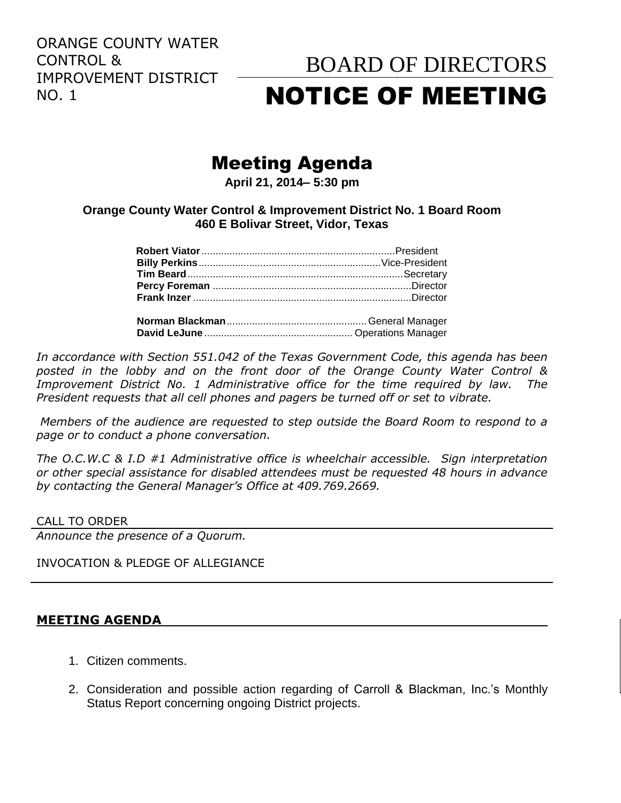ORANGE COUNTY WATER CONTROL & IMPROVEMENT DISTRICT NO. 1

# BOARD OF DIRECTORS NOTICE OF MEETING

## Meeting Agenda

**April 21, 2014– 5:30 pm**

### **Orange County Water Control & Improvement District No. 1 Board Room 460 E Bolivar Street, Vidor, Texas**

**David LeJune** ..................................................... Operations Manager

*In accordance with Section 551.042 of the Texas Government Code, this agenda has been posted in the lobby and on the front door of the Orange County Water Control & Improvement District No. 1 Administrative office for the time required by law. The President requests that all cell phones and pagers be turned off or set to vibrate.*

*Members of the audience are requested to step outside the Board Room to respond to a page or to conduct a phone conversation.*

*The O.C.W.C & I.D #1 Administrative office is wheelchair accessible. Sign interpretation or other special assistance for disabled attendees must be requested 48 hours in advance by contacting the General Manager's Office at 409.769.2669.*

#### CALL TO ORDER

*Announce the presence of a Quorum.*

#### INVOCATION & PLEDGE OF ALLEGIANCE

#### **MEETING AGENDA**

- 1. Citizen comments.
- 2. Consideration and possible action regarding of Carroll & Blackman, Inc.'s Monthly Status Report concerning ongoing District projects.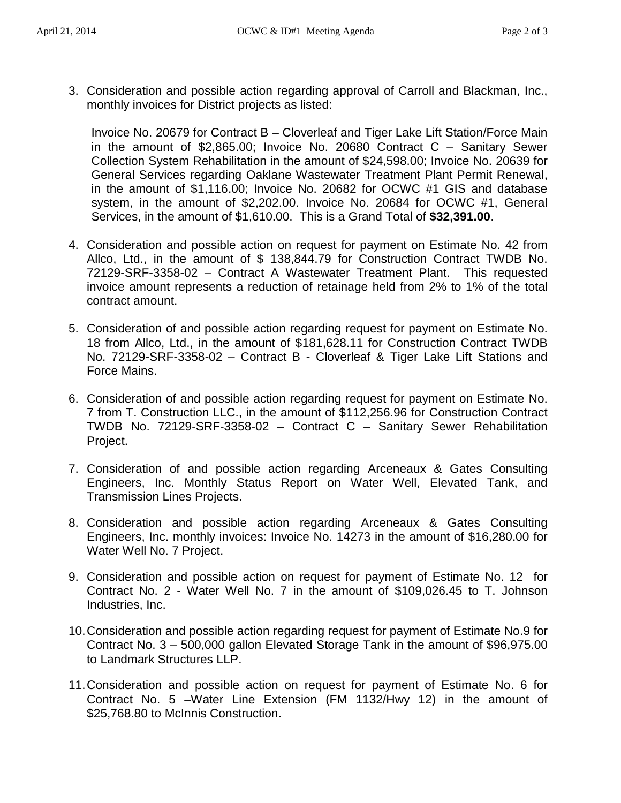- 
- 3. Consideration and possible action regarding approval of Carroll and Blackman, Inc., monthly invoices for District projects as listed:

Invoice No. 20679 for Contract B – Cloverleaf and Tiger Lake Lift Station/Force Main in the amount of \$2,865.00; Invoice No. 20680 Contract C – Sanitary Sewer Collection System Rehabilitation in the amount of \$24,598.00; Invoice No. 20639 for General Services regarding Oaklane Wastewater Treatment Plant Permit Renewal, in the amount of \$1,116.00; Invoice No. 20682 for OCWC #1 GIS and database system, in the amount of \$2,202.00. Invoice No. 20684 for OCWC #1, General Services, in the amount of \$1,610.00. This is a Grand Total of **\$32,391.00**.

- 4. Consideration and possible action on request for payment on Estimate No. 42 from Allco, Ltd., in the amount of \$ 138,844.79 for Construction Contract TWDB No. 72129-SRF-3358-02 – Contract A Wastewater Treatment Plant. This requested invoice amount represents a reduction of retainage held from 2% to 1% of the total contract amount.
- 5. Consideration of and possible action regarding request for payment on Estimate No. 18 from Allco, Ltd., in the amount of \$181,628.11 for Construction Contract TWDB No. 72129-SRF-3358-02 – Contract B - Cloverleaf & Tiger Lake Lift Stations and Force Mains.
- 6. Consideration of and possible action regarding request for payment on Estimate No. 7 from T. Construction LLC., in the amount of \$112,256.96 for Construction Contract TWDB No. 72129-SRF-3358-02 – Contract C – Sanitary Sewer Rehabilitation Project.
- 7. Consideration of and possible action regarding Arceneaux & Gates Consulting Engineers, Inc. Monthly Status Report on Water Well, Elevated Tank, and Transmission Lines Projects.
- 8. Consideration and possible action regarding Arceneaux & Gates Consulting Engineers, Inc. monthly invoices: Invoice No. 14273 in the amount of \$16,280.00 for Water Well No. 7 Project.
- 9. Consideration and possible action on request for payment of Estimate No. 12 for Contract No. 2 - Water Well No. 7 in the amount of \$109,026.45 to T. Johnson Industries, Inc.
- 10.Consideration and possible action regarding request for payment of Estimate No.9 for Contract No. 3 – 500,000 gallon Elevated Storage Tank in the amount of \$96,975.00 to Landmark Structures LLP.
- 11.Consideration and possible action on request for payment of Estimate No. 6 for Contract No. 5 –Water Line Extension (FM 1132/Hwy 12) in the amount of \$25,768.80 to McInnis Construction.